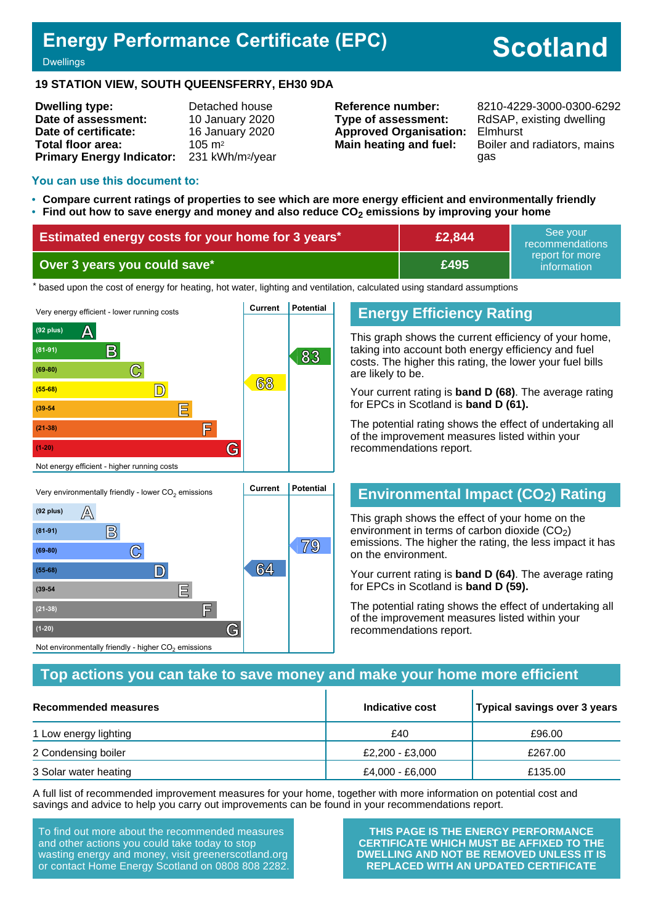## **Energy Performance Certificate (EPC)**

# **Scotland**

**Dwellings** 

#### **19 STATION VIEW, SOUTH QUEENSFERRY, EH30 9DA**

| <b>Dwelling type:</b>            | Detached house               |
|----------------------------------|------------------------------|
| Date of assessment:              | 10 January 2020              |
| Date of certificate:             | 16 January 2020              |
| Total floor area:                | $105 \text{ m}^2$            |
| <b>Primary Energy Indicator:</b> | 231 kWh/m <sup>2</sup> /year |

**Type of assessment:** RdSAP, existing dwelling **Approved Organisation:** Elmhurst

**Reference number:** 8210-4229-3000-0300-6292 **Main heating and fuel:** Boiler and radiators, mains gas

#### **You can use this document to:**

- **Compare current ratings of properties to see which are more energy efficient and environmentally friendly**
- **Find out how to save energy and money and also reduce CO2 emissions by improving your home**

| <b>Estimated energy costs for your home for 3 years*</b> | £2,844 | See vour<br>recommendations                   |
|----------------------------------------------------------|--------|-----------------------------------------------|
| Over 3 years you could save*                             | £495   | report for more !<br>information <sup>1</sup> |

the based upon the cost of energy for heating, hot water, lighting and ventilation, calculated using standard assumptions



## **Energy Efficiency Rating**

This graph shows the current efficiency of your home, taking into account both energy efficiency and fuel costs. The higher this rating, the lower your fuel bills are likely to be.

Your current rating is **band D (68)**. The average rating for EPCs in Scotland is **band D (61).**

The potential rating shows the effect of undertaking all of the improvement measures listed within your recommendations report.

## **Environmental Impact (CO2) Rating**

This graph shows the effect of your home on the environment in terms of carbon dioxide  $(CO<sub>2</sub>)$ emissions. The higher the rating, the less impact it has on the environment.

Your current rating is **band D (64)**. The average rating for EPCs in Scotland is **band D (59).**

The potential rating shows the effect of undertaking all of the improvement measures listed within your recommendations report.

## **Top actions you can take to save money and make your home more efficient**

| Recommended measures  | Indicative cost | Typical savings over 3 years |
|-----------------------|-----------------|------------------------------|
| 1 Low energy lighting | £40             | £96.00                       |
| 2 Condensing boiler   | £2,200 - £3,000 | £267.00                      |
| 3 Solar water heating | £4,000 - £6,000 | £135.00                      |

A full list of recommended improvement measures for your home, together with more information on potential cost and savings and advice to help you carry out improvements can be found in your recommendations report.

To find out more about the recommended measures and other actions you could take today to stop wasting energy and money, visit greenerscotland.org or contact Home Energy Scotland on 0808 808 2282.

**(21-38) F**

Not environmentally friendly - higher  $\mathrm{CO}_2$  emissions

**(1-20) G**

**THIS PAGE IS THE ENERGY PERFORMANCE CERTIFICATE WHICH MUST BE AFFIXED TO THE DWELLING AND NOT BE REMOVED UNLESS IT IS REPLACED WITH AN UPDATED CERTIFICATE**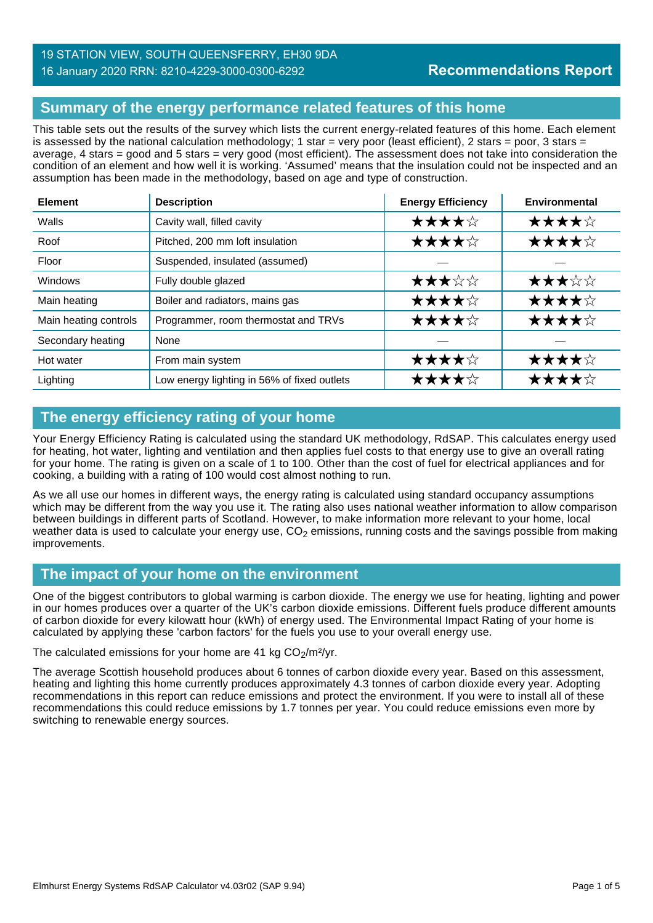## **Summary of the energy performance related features of this home**

This table sets out the results of the survey which lists the current energy-related features of this home. Each element is assessed by the national calculation methodology; 1 star = very poor (least efficient), 2 stars = poor, 3 stars = average, 4 stars = good and 5 stars = very good (most efficient). The assessment does not take into consideration the condition of an element and how well it is working. 'Assumed' means that the insulation could not be inspected and an assumption has been made in the methodology, based on age and type of construction.

| <b>Element</b>        | <b>Description</b>                          | <b>Energy Efficiency</b> | Environmental |
|-----------------------|---------------------------------------------|--------------------------|---------------|
| Walls                 | Cavity wall, filled cavity                  | ★★★★☆                    | ★★★★☆         |
| Roof                  | Pitched, 200 mm loft insulation             | ★★★★☆                    | ★★★★☆         |
| Floor                 | Suspended, insulated (assumed)              |                          |               |
| <b>Windows</b>        | Fully double glazed                         | ★★★☆☆                    | ★★★☆☆         |
| Main heating          | Boiler and radiators, mains gas             | ★★★★☆                    | ★★★★☆         |
| Main heating controls | Programmer, room thermostat and TRVs        | ★★★★☆                    | ★★★★☆         |
| Secondary heating     | None                                        |                          |               |
| Hot water             | From main system                            | ★★★★☆                    | ★★★★☆         |
| Lighting              | Low energy lighting in 56% of fixed outlets | ★★★★☆                    | ★★★★☆         |

## **The energy efficiency rating of your home**

Your Energy Efficiency Rating is calculated using the standard UK methodology, RdSAP. This calculates energy used for heating, hot water, lighting and ventilation and then applies fuel costs to that energy use to give an overall rating for your home. The rating is given on a scale of 1 to 100. Other than the cost of fuel for electrical appliances and for cooking, a building with a rating of 100 would cost almost nothing to run.

As we all use our homes in different ways, the energy rating is calculated using standard occupancy assumptions which may be different from the way you use it. The rating also uses national weather information to allow comparison between buildings in different parts of Scotland. However, to make information more relevant to your home, local weather data is used to calculate your energy use,  $CO<sub>2</sub>$  emissions, running costs and the savings possible from making improvements.

## **The impact of your home on the environment**

One of the biggest contributors to global warming is carbon dioxide. The energy we use for heating, lighting and power in our homes produces over a quarter of the UK's carbon dioxide emissions. Different fuels produce different amounts of carbon dioxide for every kilowatt hour (kWh) of energy used. The Environmental Impact Rating of your home is calculated by applying these 'carbon factors' for the fuels you use to your overall energy use.

The calculated emissions for your home are 41 kg  $CO<sub>2</sub>/m<sup>2</sup>/yr$ .

The average Scottish household produces about 6 tonnes of carbon dioxide every year. Based on this assessment, heating and lighting this home currently produces approximately 4.3 tonnes of carbon dioxide every year. Adopting recommendations in this report can reduce emissions and protect the environment. If you were to install all of these recommendations this could reduce emissions by 1.7 tonnes per year. You could reduce emissions even more by switching to renewable energy sources.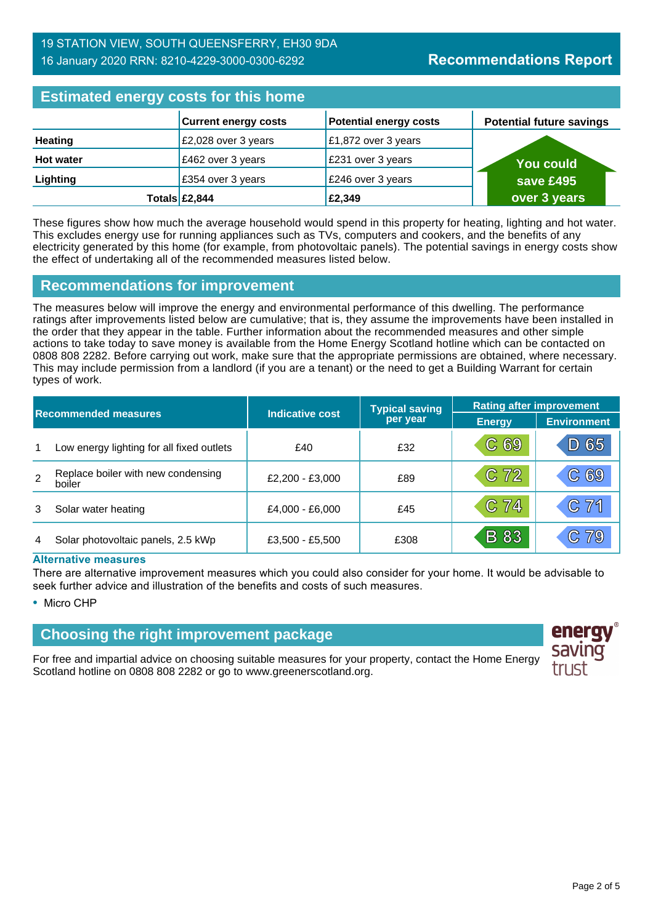## **Estimated energy costs for this home**

| <b>EDITION ONLY YOU AS TOT GIRD HOME</b> |                             |                               |                                 |  |
|------------------------------------------|-----------------------------|-------------------------------|---------------------------------|--|
|                                          | <b>Current energy costs</b> | <b>Potential energy costs</b> | <b>Potential future savings</b> |  |
| <b>Heating</b>                           | £2,028 over 3 years         | £1,872 over 3 years           |                                 |  |
| <b>Hot water</b>                         | £462 over 3 years           | £231 over 3 years             | <b>You could</b>                |  |
| Lighting                                 | £354 over 3 years           | £246 over 3 years             | save £495                       |  |
|                                          | Totals $\mathsf{E2,844}$    | £2,349                        | over 3 years                    |  |

These figures show how much the average household would spend in this property for heating, lighting and hot water. This excludes energy use for running appliances such as TVs, computers and cookers, and the benefits of any electricity generated by this home (for example, from photovoltaic panels). The potential savings in energy costs show the effect of undertaking all of the recommended measures listed below.

## **Recommendations for improvement**

The measures below will improve the energy and environmental performance of this dwelling. The performance ratings after improvements listed below are cumulative; that is, they assume the improvements have been installed in the order that they appear in the table. Further information about the recommended measures and other simple actions to take today to save money is available from the Home Energy Scotland hotline which can be contacted on 0808 808 2282. Before carrying out work, make sure that the appropriate permissions are obtained, where necessary. This may include permission from a landlord (if you are a tenant) or the need to get a Building Warrant for certain types of work.

| <b>Recommended measures</b> |                                              |                        | <b>Typical saving</b> | <b>Rating after improvement</b> |                      |
|-----------------------------|----------------------------------------------|------------------------|-----------------------|---------------------------------|----------------------|
|                             |                                              | <b>Indicative cost</b> | per year              | <b>Energy</b>                   | <b>Environment</b>   |
| 1                           | Low energy lighting for all fixed outlets    | £40                    | £32                   | C 69                            | 65                   |
| $\overline{2}$              | Replace boiler with new condensing<br>boiler | £2,200 - £3,000        | £89                   | C <sub>72</sub>                 | C69                  |
| 3                           | Solar water heating                          | £4,000 - £6,000        | £45                   | C 74                            | C71                  |
| 4                           | Solar photovoltaic panels, 2.5 kWp           | £3,500 - £5,500        | £308                  | <b>B</b> 83                     | 79<br>$\mathbb{C}^-$ |

#### **Alternative measures**

There are alternative improvement measures which you could also consider for your home. It would be advisable to seek further advice and illustration of the benefits and costs of such measures.

• Micro CHP

## **Choosing the right improvement package**

For free and impartial advice on choosing suitable measures for your property, contact the Home Energy Scotland hotline on 0808 808 2282 or go to www.greenerscotland.org.

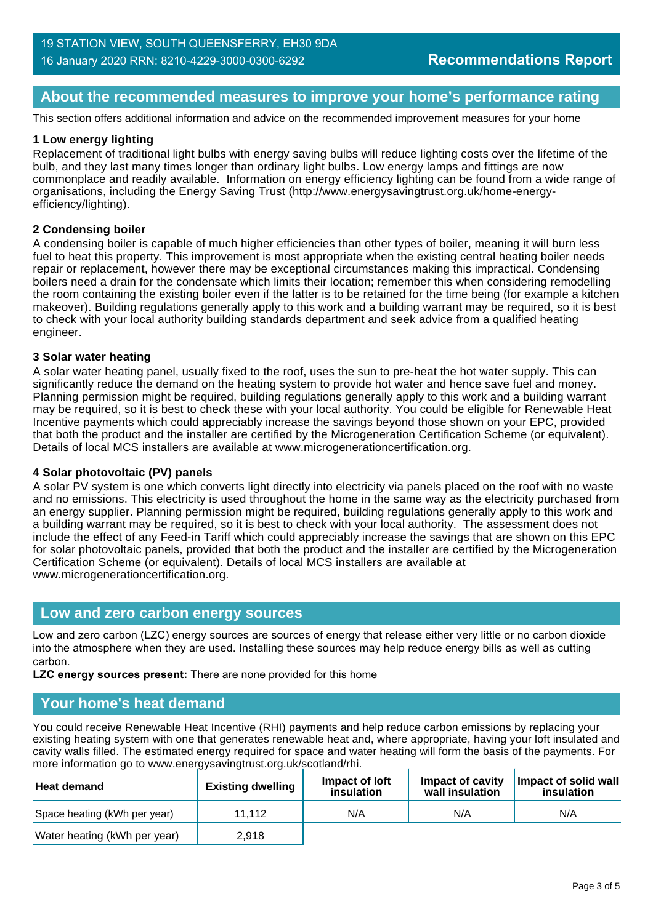## **About the recommended measures to improve your home's performance rating**

This section offers additional information and advice on the recommended improvement measures for your home

#### **1 Low energy lighting**

Replacement of traditional light bulbs with energy saving bulbs will reduce lighting costs over the lifetime of the bulb, and they last many times longer than ordinary light bulbs. Low energy lamps and fittings are now commonplace and readily available. Information on energy efficiency lighting can be found from a wide range of organisations, including the Energy Saving Trust (http://www.energysavingtrust.org.uk/home-energyefficiency/lighting).

#### **2 Condensing boiler**

A condensing boiler is capable of much higher efficiencies than other types of boiler, meaning it will burn less fuel to heat this property. This improvement is most appropriate when the existing central heating boiler needs repair or replacement, however there may be exceptional circumstances making this impractical. Condensing boilers need a drain for the condensate which limits their location; remember this when considering remodelling the room containing the existing boiler even if the latter is to be retained for the time being (for example a kitchen makeover). Building regulations generally apply to this work and a building warrant may be required, so it is best to check with your local authority building standards department and seek advice from a qualified heating engineer.

#### **3 Solar water heating**

A solar water heating panel, usually fixed to the roof, uses the sun to pre-heat the hot water supply. This can significantly reduce the demand on the heating system to provide hot water and hence save fuel and money. Planning permission might be required, building regulations generally apply to this work and a building warrant may be required, so it is best to check these with your local authority. You could be eligible for Renewable Heat Incentive payments which could appreciably increase the savings beyond those shown on your EPC, provided that both the product and the installer are certified by the Microgeneration Certification Scheme (or equivalent). Details of local MCS installers are available at www.microgenerationcertification.org.

#### **4 Solar photovoltaic (PV) panels**

A solar PV system is one which converts light directly into electricity via panels placed on the roof with no waste and no emissions. This electricity is used throughout the home in the same way as the electricity purchased from an energy supplier. Planning permission might be required, building regulations generally apply to this work and a building warrant may be required, so it is best to check with your local authority. The assessment does not include the effect of any Feed-in Tariff which could appreciably increase the savings that are shown on this EPC for solar photovoltaic panels, provided that both the product and the installer are certified by the Microgeneration Certification Scheme (or equivalent). Details of local MCS installers are available at www.microgenerationcertification.org.

#### **Low and zero carbon energy sources**

Low and zero carbon (LZC) energy sources are sources of energy that release either very little or no carbon dioxide into the atmosphere when they are used. Installing these sources may help reduce energy bills as well as cutting carbon.

**LZC energy sources present:** There are none provided for this home

#### **Your home's heat demand**

You could receive Renewable Heat Incentive (RHI) payments and help reduce carbon emissions by replacing your existing heating system with one that generates renewable heat and, where appropriate, having your loft insulated and cavity walls filled. The estimated energy required for space and water heating will form the basis of the payments. For more information go to www.energysavingtrust.org.uk/scotland/rhi.

| <b>Heat demand</b>           | <b>Existing dwelling</b> | Impact of Joft<br>insulation | Impact of cavity<br>wall insulation | Impact of solid wall<br>insulation |
|------------------------------|--------------------------|------------------------------|-------------------------------------|------------------------------------|
| Space heating (kWh per year) | 11.112                   | N/A                          | N/A                                 | N/A                                |
| Water heating (kWh per year) | 2.918                    |                              |                                     |                                    |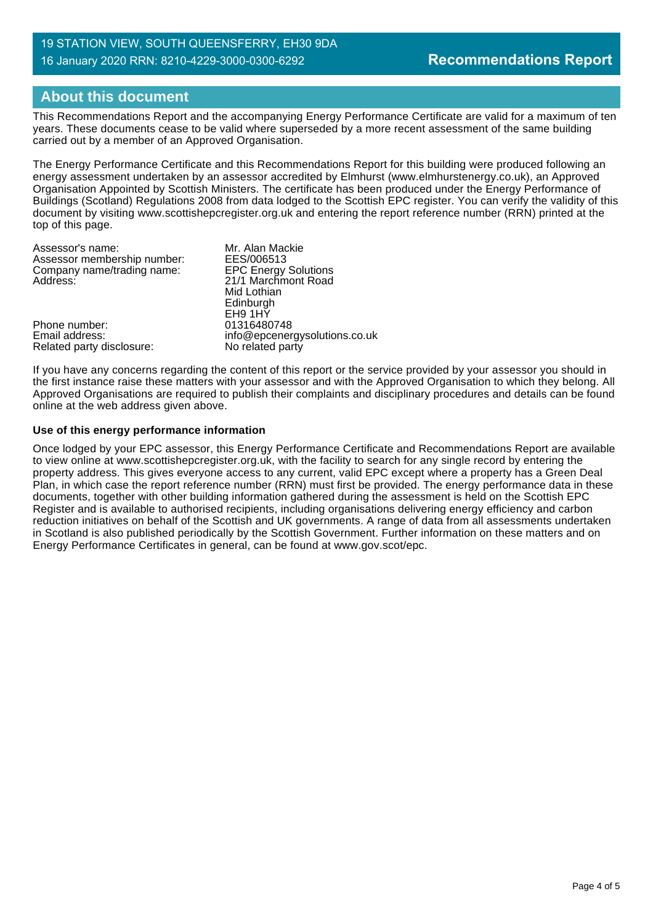## **About this document**

This Recommendations Report and the accompanying Energy Performance Certificate are valid for a maximum of ten years. These documents cease to be valid where superseded by a more recent assessment of the same building carried out by a member of an Approved Organisation.

The Energy Performance Certificate and this Recommendations Report for this building were produced following an energy assessment undertaken by an assessor accredited by Elmhurst (www.elmhurstenergy.co.uk), an Approved Organisation Appointed by Scottish Ministers. The certificate has been produced under the Energy Performance of Buildings (Scotland) Regulations 2008 from data lodged to the Scottish EPC register. You can verify the validity of this document by visiting www.scottishepcregister.org.uk and entering the report reference number (RRN) printed at the top of this page.

| Assessor's name:            | Mr. Alan Mackie               |
|-----------------------------|-------------------------------|
| Assessor membership number: | EES/006513                    |
| Company name/trading name:  | <b>EPC Energy Solutions</b>   |
| Address:                    | 21/1 Marchmont Road           |
|                             | Mid Lothian                   |
|                             | Edinburgh                     |
|                             | EH9 1HY                       |
| Phone number:               | 01316480748                   |
| Email address:              | info@epcenergysolutions.co.uk |
| Related party disclosure:   | No related party              |
|                             |                               |

If you have any concerns regarding the content of this report or the service provided by your assessor you should in the first instance raise these matters with your assessor and with the Approved Organisation to which they belong. All Approved Organisations are required to publish their complaints and disciplinary procedures and details can be found online at the web address given above.

#### **Use of this energy performance information**

Once lodged by your EPC assessor, this Energy Performance Certificate and Recommendations Report are available to view online at www.scottishepcregister.org.uk, with the facility to search for any single record by entering the property address. This gives everyone access to any current, valid EPC except where a property has a Green Deal Plan, in which case the report reference number (RRN) must first be provided. The energy performance data in these documents, together with other building information gathered during the assessment is held on the Scottish EPC Register and is available to authorised recipients, including organisations delivering energy efficiency and carbon reduction initiatives on behalf of the Scottish and UK governments. A range of data from all assessments undertaken in Scotland is also published periodically by the Scottish Government. Further information on these matters and on Energy Performance Certificates in general, can be found at www.gov.scot/epc.